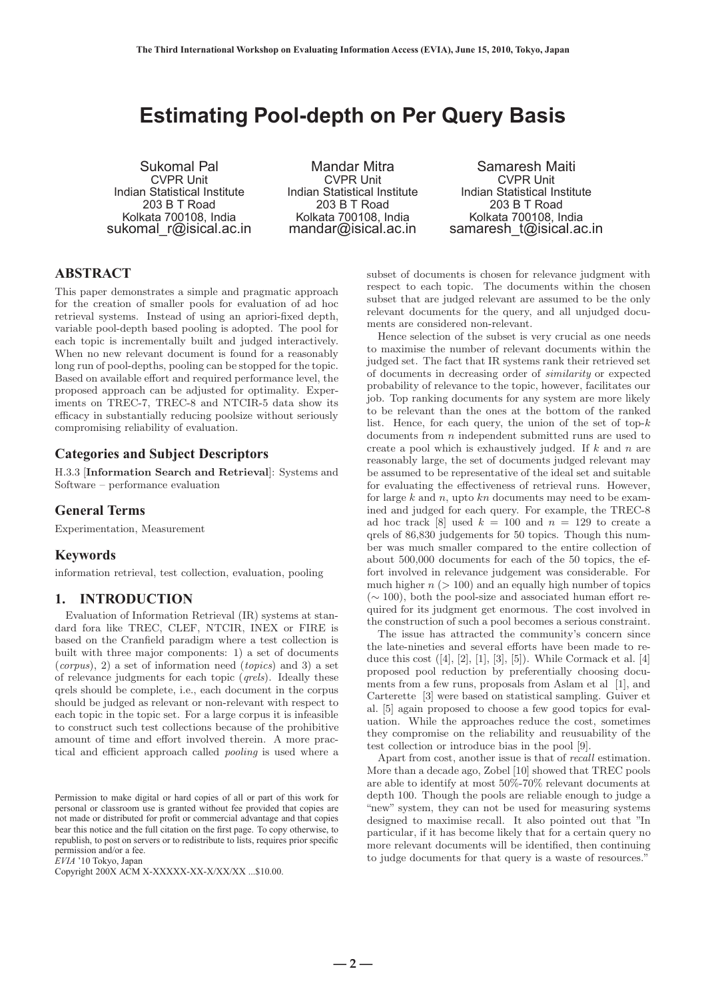# **Estimating Pool-depth on Per Query Basis**

Sukomal Pal CVPR Unit Indian Statistical Institute 203 B T Road Kolkata 700108, India sukomal r@isical.ac.in

Mandar Mitra CVPR Unit Indian Statistical Institute 203 B T Road Kolkata 700108, India mandar@isical.ac.in

Samaresh Maiti CVPR Unit Indian Statistical Institute 203 B T Road Kolkata 700108, India samaresh t@isical.ac.in

# **ABSTRACT**

This paper demonstrates a simple and pragmatic approach for the creation of smaller pools for evaluation of ad hoc retrieval systems. Instead of using an apriori-fixed depth, variable pool-depth based pooling is adopted. The pool for each topic is incrementally built and judged interactively. When no new relevant document is found for a reasonably long run of pool-depths, pooling can be stopped for the topic. Based on available effort and required performance level, the proposed approach can be adjusted for optimality. Experiments on TREC-7, TREC-8 and NTCIR-5 data show its efficacy in substantially reducing poolsize without seriously compromising reliability of evaluation.

# **Categories and Subject Descriptors**

H.3.3 [**Information Search and Retrieval**]: Systems and Software – performance evaluation

# **General Terms**

Experimentation, Measurement

#### **Keywords**

information retrieval, test collection, evaluation, pooling

# **1. INTRODUCTION**

Evaluation of Information Retrieval (IR) systems at standard fora like TREC, CLEF, NTCIR, INEX or FIRE is based on the Cranfield paradigm where a test collection is built with three major components: 1) a set of documents  $(corpus), 2)$  a set of information need  $(topics)$  and 3) a set of relevance judgments for each topic (qrels). Ideally these qrels should be complete, i.e., each document in the corpus should be judged as relevant or non-relevant with respect to each topic in the topic set. For a large corpus it is infeasible to construct such test collections because of the prohibitive amount of time and effort involved therein. A more practical and efficient approach called pooling is used where a

Permission to make digital or hard copies of all or part of this work for personal or classroom use is granted without fee provided that copies are not made or distributed for profit or commercial advantage and that copies bear this notice and the full citation on the first page. To copy otherwise, to republish, to post on servers or to redistribute to lists, requires prior specific permission and/or a fee.

*EVIA* '10 Tokyo, Japan

Copyright 200X ACM X-XXXXX-XX-X/XX/XX ...\$10.00.

subset of documents is chosen for relevance judgment with respect to each topic. The documents within the chosen subset that are judged relevant are assumed to be the only relevant documents for the query, and all unjudged documents are considered non-relevant.

Hence selection of the subset is very crucial as one needs to maximise the number of relevant documents within the judged set. The fact that IR systems rank their retrieved set of documents in decreasing order of similarity or expected probability of relevance to the topic, however, facilitates our job. Top ranking documents for any system are more likely to be relevant than the ones at the bottom of the ranked list. Hence, for each query, the union of the set of top- $k$ documents from  $n$  independent submitted runs are used to create a pool which is exhaustively judged. If  $k$  and  $n$  are reasonably large, the set of documents judged relevant may be assumed to be representative of the ideal set and suitable for evaluating the effectiveness of retrieval runs. However, for large  $k$  and  $n$ , upto  $kn$  documents may need to be examined and judged for each query. For example, the TREC-8 ad hoc track [8] used  $k = 100$  and  $n = 129$  to create a qrels of 86,830 judgements for 50 topics. Though this number was much smaller compared to the entire collection of about 500,000 documents for each of the 50 topics, the effort involved in relevance judgement was considerable. For much higher  $n (> 100)$  and an equally high number of topics  $(\sim 100)$ , both the pool-size and associated human effort required for its judgment get enormous. The cost involved in the construction of such a pool becomes a serious constraint.

The issue has attracted the community's concern since the late-nineties and several efforts have been made to reduce this cost  $([4], [2], [1], [3], [5])$ . While Cormack et al. [4] proposed pool reduction by preferentially choosing documents from a few runs, proposals from Aslam et al [1], and Carterette [3] were based on statistical sampling. Guiver et al. [5] again proposed to choose a few good topics for evaluation. While the approaches reduce the cost, sometimes they compromise on the reliability and reusuability of the test collection or introduce bias in the pool [9].

Apart from cost, another issue is that of recall estimation. More than a decade ago, Zobel [10] showed that TREC pools are able to identify at most 50%-70% relevant documents at depth 100. Though the pools are reliable enough to judge a "new" system, they can not be used for measuring systems designed to maximise recall. It also pointed out that "In particular, if it has become likely that for a certain query no more relevant documents will be identified, then continuing to judge documents for that query is a waste of resources."

 $-2 -$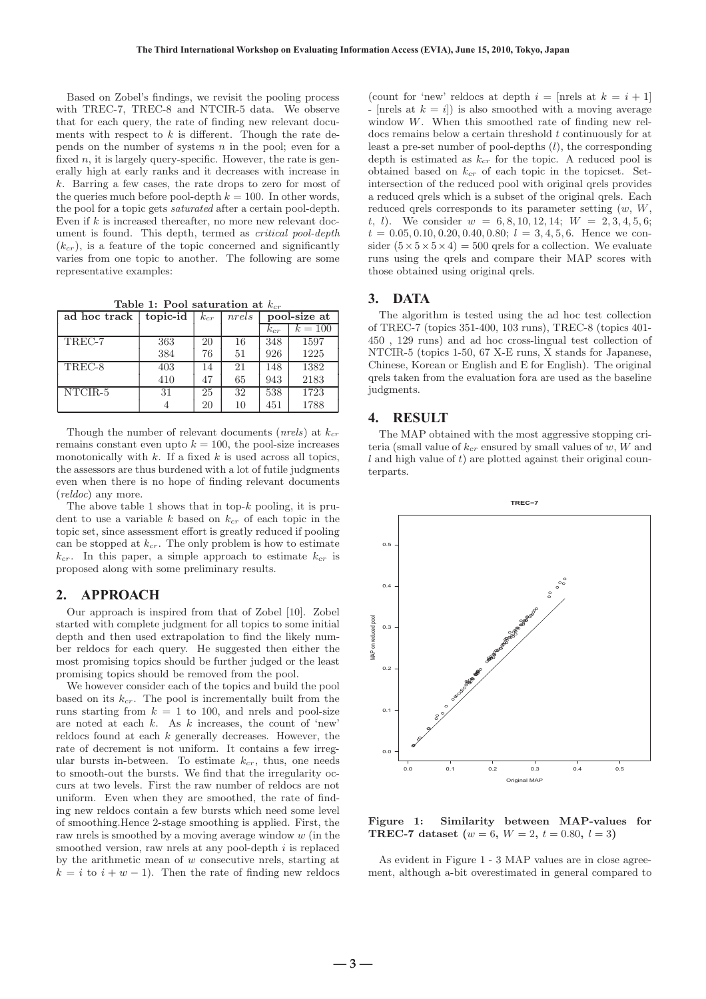Based on Zobel's findings, we revisit the pooling process with TREC-7, TREC-8 and NTCIR-5 data. We observe that for each query, the rate of finding new relevant documents with respect to  $k$  is different. Though the rate depends on the number of systems  $n$  in the pool; even for a fixed  $n$ , it is largely query-specific. However, the rate is generally high at early ranks and it decreases with increase in k. Barring a few cases, the rate drops to zero for most of the queries much before pool-depth  $k = 100$ . In other words, the pool for a topic gets saturated after a certain pool-depth. Even if  $k$  is increased thereafter, no more new relevant document is found. This depth, termed as critical pool-depth  $(k_{cr})$ , is a feature of the topic concerned and significantly varies from one topic to another. The following are some representative examples:

Table 1: Pool saturation at  $k_c$ 

| ad hoc track | topic-id | $k_{cr}$ | nrels | pool-size at |                |
|--------------|----------|----------|-------|--------------|----------------|
|              |          |          |       | $k_{cr}$     | $k \equiv 100$ |
| TREC-7       | 363      | 20       | 16    | 348          | 1597           |
|              | 384      | 76       | 51    | 926          | 1225           |
| TREC-8       | 403      | 14       | 21    | 148          | 1382           |
|              | 410      | 47       | 65    | 943          | 2183           |
| NTCIR-5      | 31       | 25       | 32    | 538          | 1723           |
|              |          | 20       | 10    | 451          | 1788           |

Though the number of relevant documents (*nrels*) at  $k_{cr}$ remains constant even upto  $k = 100$ , the pool-size increases monotonically with  $k$ . If a fixed  $k$  is used across all topics, the assessors are thus burdened with a lot of futile judgments even when there is no hope of finding relevant documents (reldoc) any more.

The above table 1 shows that in top- $k$  pooling, it is prudent to use a variable k based on  $k_{cr}$  of each topic in the topic set, since assessment effort is greatly reduced if pooling can be stopped at  $k_{cr}$ . The only problem is how to estimate  $k_{cr}$ . In this paper, a simple approach to estimate  $k_{cr}$  is proposed along with some preliminary results.

#### **2. APPROACH**

Our approach is inspired from that of Zobel [10]. Zobel started with complete judgment for all topics to some initial depth and then used extrapolation to find the likely number reldocs for each query. He suggested then either the most promising topics should be further judged or the least promising topics should be removed from the pool.

We however consider each of the topics and build the pool based on its  $k_{cr}$ . The pool is incrementally built from the runs starting from  $k = 1$  to 100, and nrels and pool-size are noted at each  $k$ . As  $k$  increases, the count of 'new' reldocs found at each  $k$  generally decreases. However, the rate of decrement is not uniform. It contains a few irregular bursts in-between. To estimate  $k_{cr}$ , thus, one needs to smooth-out the bursts. We find that the irregularity occurs at two levels. First the raw number of reldocs are not uniform. Even when they are smoothed, the rate of finding new reldocs contain a few bursts which need some level of smoothing.Hence 2-stage smoothing is applied. First, the raw nrels is smoothed by a moving average window  $w$  (in the smoothed version, raw nrels at any pool-depth  $i$  is replaced by the arithmetic mean of  $w$  consecutive nrels, starting at  $k = i$  to  $i + w - 1$ ). Then the rate of finding new reldocs

(count for 'new' reldocs at depth  $i =$  [nrels at  $k = i + 1$ ] - [nrels at  $k = i$ ] is also smoothed with a moving average window  $W$ . When this smoothed rate of finding new reldocs remains below a certain threshold  $t$  continuously for at least a pre-set number of pool-depths (l), the corresponding depth is estimated as  $k_{cr}$  for the topic. A reduced pool is obtained based on  $k_{cr}$  of each topic in the topicset. Setintersection of the reduced pool with original qrels provides a reduced qrels which is a subset of the original qrels. Each reduced qrels corresponds to its parameter setting  $(w, W,$ t, l). We consider  $w = 6, 8, 10, 12, 14; W = 2, 3, 4, 5, 6;$  $t = 0.05, 0.10, 0.20, 0.40, 0.80; l = 3, 4, 5, 6.$  Hence we consider  $(5 \times 5 \times 5 \times 4) = 500$  grels for a collection. We evaluate runs using the qrels and compare their MAP scores with those obtained using original qrels.

#### **3. DATA**

The algorithm is tested using the ad hoc test collection of TREC-7 (topics 351-400, 103 runs), TREC-8 (topics 401- 450 , 129 runs) and ad hoc cross-lingual test collection of NTCIR-5 (topics 1-50, 67 X-E runs, X stands for Japanese, Chinese, Korean or English and E for English). The original qrels taken from the evaluation fora are used as the baseline judgments.

#### **4. RESULT**

The MAP obtained with the most aggressive stopping criteria (small value of  $k_{cr}$  ensured by small values of  $w, W$  and  $l$  and high value of  $t$ ) are plotted against their original counterparts.



**Figure 1: Similarity between MAP-values for TREC-7** dataset  $(w = 6, W = 2, t = 0.80, l = 3)$ 

As evident in Figure 1 - 3 MAP values are in close agreement, although a-bit overestimated in general compared to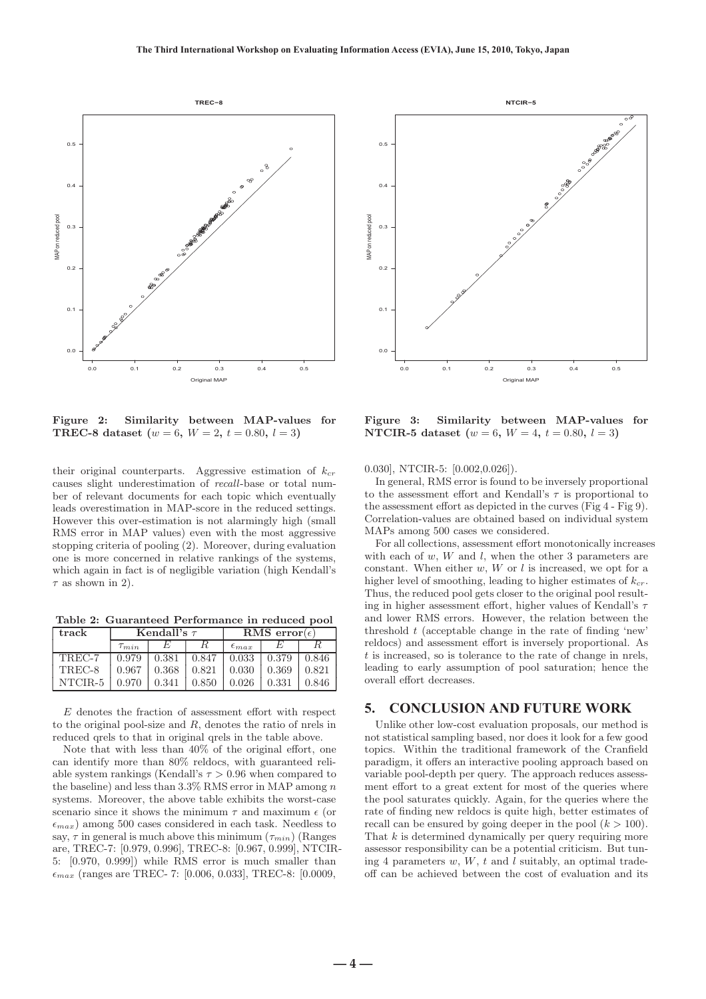

**Figure 2: Similarity between MAP-values for TREC-8 dataset**  $(w = 6, W = 2, t = 0.80, l = 3)$ 

their original counterparts. Aggressive estimation of  $k_{cr}$ causes slight underestimation of recall-base or total number of relevant documents for each topic which eventually leads overestimation in MAP-score in the reduced settings. However this over-estimation is not alarmingly high (small RMS error in MAP values) even with the most aggressive stopping criteria of pooling (2). Moreover, during evaluation one is more concerned in relative rankings of the systems, which again in fact is of negligible variation (high Kendall's  $\tau$  as shown in 2).

**Table 2: Guaranteed Performance in reduced pool**

| track   | Kendall's $\tau$ |       |       | RMS error $(\epsilon)$ |       |       |  |
|---------|------------------|-------|-------|------------------------|-------|-------|--|
|         | $\tau_{min}$     |       |       | $\epsilon_{max}$       |       |       |  |
| TREC-7  | 0.979            | 0.381 | 0.847 | 0.033                  | 0.379 | 0.846 |  |
| TREC-8  | 0.967            | 0.368 | 0.821 | 0.030                  | 0.369 | 0.821 |  |
| NTCIR-5 | 0.970            | 0.341 | 0.850 | 0.026                  | 0.331 | 0.846 |  |

E denotes the fraction of assessment effort with respect to the original pool-size and R, denotes the ratio of nrels in reduced qrels to that in original qrels in the table above.

Note that with less than 40% of the original effort, one can identify more than 80% reldocs, with guaranteed reliable system rankings (Kendall's  $\tau > 0.96$  when compared to the baseline) and less than  $3.3\%$  RMS error in MAP among n systems. Moreover, the above table exhibits the worst-case scenario since it shows the minimum  $\tau$  and maximum  $\epsilon$  (or  $\epsilon_{max}$ ) among 500 cases considered in each task. Needless to say,  $\tau$  in general is much above this minimum  $(\tau_{min})$  (Ranges are, TREC-7: [0.979, 0.996], TREC-8: [0.967, 0.999], NTCIR-5: [0.970, 0.999]) while RMS error is much smaller than  $\epsilon_{max}$  (ranges are TREC- 7: [0.006, 0.033], TREC-8: [0.0009,



**Figure 3: Similarity between MAP-values for NTCIR-5** dataset  $(w = 6, W = 4, t = 0.80, l = 3)$ 

0.030], NTCIR-5: [0.002,0.026]).

In general, RMS error is found to be inversely proportional to the assessment effort and Kendall's  $\tau$  is proportional to the assessment effort as depicted in the curves (Fig 4 - Fig 9). Correlation-values are obtained based on individual system MAPs among 500 cases we considered.

For all collections, assessment effort monotonically increases with each of  $w$ ,  $W$  and  $l$ , when the other 3 parameters are constant. When either  $w, W$  or  $l$  is increased, we opt for a higher level of smoothing, leading to higher estimates of  $k_{cr}$ . Thus, the reduced pool gets closer to the original pool resulting in higher assessment effort, higher values of Kendall's  $\tau$ and lower RMS errors. However, the relation between the threshold  $t$  (acceptable change in the rate of finding 'new' reldocs) and assessment effort is inversely proportional. As  $t$  is increased, so is tolerance to the rate of change in nrels, leading to early assumption of pool saturation; hence the overall effort decreases.

### **5. CONCLUSION AND FUTURE WORK**

Unlike other low-cost evaluation proposals, our method is not statistical sampling based, nor does it look for a few good topics. Within the traditional framework of the Cranfield paradigm, it offers an interactive pooling approach based on variable pool-depth per query. The approach reduces assessment effort to a great extent for most of the queries where the pool saturates quickly. Again, for the queries where the rate of finding new reldocs is quite high, better estimates of recall can be ensured by going deeper in the pool  $(k > 100)$ . That  $k$  is determined dynamically per query requiring more assessor responsibility can be a potential criticism. But tuning 4 parameters  $w, W, t$  and l suitably, an optimal tradeoff can be achieved between the cost of evaluation and its

**― 4 ―**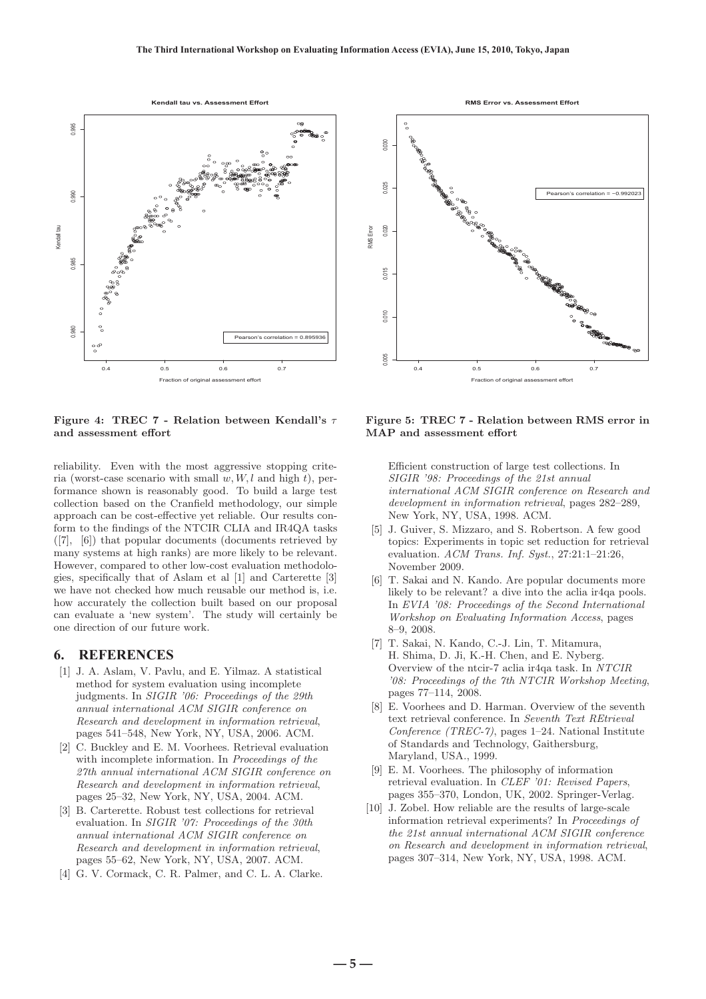

#### **Figure 4: TREC 7 - Relation between Kendall's** τ **and assessment effort**

reliability. Even with the most aggressive stopping criteria (worst-case scenario with small  $w, W, l$  and high t), performance shown is reasonably good. To build a large test collection based on the Cranfield methodology, our simple approach can be cost-effective yet reliable. Our results conform to the findings of the NTCIR CLIA and IR4QA tasks ([7], [6]) that popular documents (documents retrieved by many systems at high ranks) are more likely to be relevant. However, compared to other low-cost evaluation methodologies, specifically that of Aslam et al [1] and Carterette [3] we have not checked how much reusable our method is, i.e. how accurately the collection built based on our proposal can evaluate a 'new system'. The study will certainly be one direction of our future work.

## **6. REFERENCES**

- [1] J. A. Aslam, V. Pavlu, and E. Yilmaz. A statistical method for system evaluation using incomplete judgments. In SIGIR '06: Proceedings of the 29th annual international ACM SIGIR conference on Research and development in information retrieval, pages 541–548, New York, NY, USA, 2006. ACM.
- [2] C. Buckley and E. M. Voorhees. Retrieval evaluation with incomplete information. In Proceedings of the 27th annual international ACM SIGIR conference on Research and development in information retrieval, pages 25–32, New York, NY, USA, 2004. ACM.
- [3] B. Carterette. Robust test collections for retrieval evaluation. In SIGIR '07: Proceedings of the 30th annual international ACM SIGIR conference on Research and development in information retrieval, pages 55–62, New York, NY, USA, 2007. ACM.
- [4] G. V. Cormack, C. R. Palmer, and C. L. A. Clarke.



#### **Figure 5: TREC 7 - Relation between RMS error in MAP and assessment effort**

Efficient construction of large test collections. In SIGIR '98: Proceedings of the 21st annual international ACM SIGIR conference on Research and development in information retrieval, pages 282–289, New York, NY, USA, 1998. ACM.

- [5] J. Guiver, S. Mizzaro, and S. Robertson. A few good topics: Experiments in topic set reduction for retrieval evaluation.  $ACM$  Trans. Inf. Syst.,  $27:21:1-21:26$ , November 2009.
- [6] T. Sakai and N. Kando. Are popular documents more likely to be relevant? a dive into the aclia ir4qa pools. In EVIA '08: Proceedings of the Second International Workshop on Evaluating Information Access, pages 8–9, 2008.
- [7] T. Sakai, N. Kando, C.-J. Lin, T. Mitamura, H. Shima, D. Ji, K.-H. Chen, and E. Nyberg. Overview of the ntcir-7 aclia ir4qa task. In NTCIR '08: Proceedings of the 7th NTCIR Workshop Meeting, pages 77–114, 2008.
- [8] E. Voorhees and D. Harman. Overview of the seventh text retrieval conference. In Seventh Text REtrieval Conference (TREC-7), pages 1–24. National Institute of Standards and Technology, Gaithersburg, Maryland, USA., 1999.
- [9] E. M. Voorhees. The philosophy of information retrieval evaluation. In CLEF '01: Revised Papers, pages 355–370, London, UK, 2002. Springer-Verlag.
- [10] J. Zobel. How reliable are the results of large-scale information retrieval experiments? In Proceedings of the 21st annual international ACM SIGIR conference on Research and development in information retrieval, pages 307–314, New York, NY, USA, 1998. ACM.

**― 5 ―**